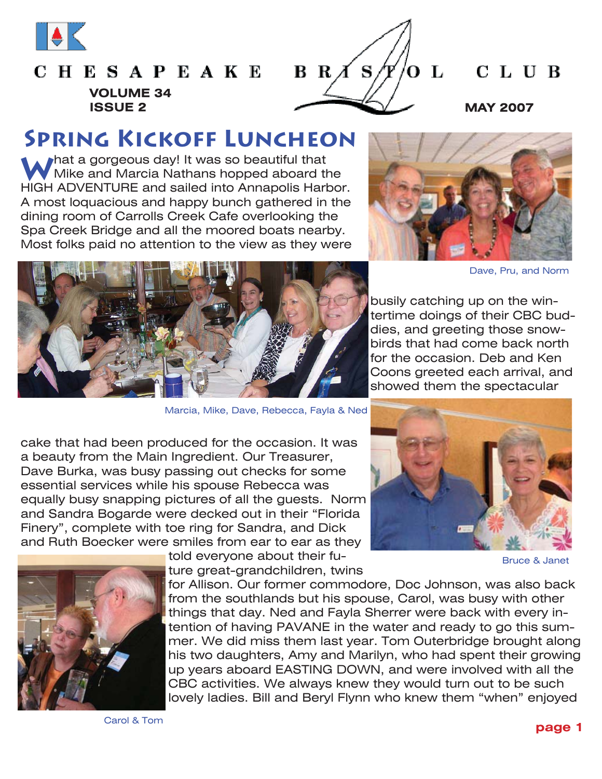

# **CHESAPEAKE VOLUME 34**



### CLUB

### **Spring Kickoff Luncheon**

What a gorgeous day! It was so beautiful that **What a gorgeous day!** It was so beautiful that HIGH ADVENTURE and sailed into Annapolis Harbor. A most loquacious and happy bunch gathered in the dining room of Carrolls Creek Cafe overlooking the Spa Creek Bridge and all the moored boats nearby. Most folks paid no attention to the view as they were





Marcia, Mike, Dave, Rebecca, Fayla & Ned

Dave, Pru, and Norm

busily catching up on the wintertime doings of their CBC buddies, and greeting those snowbirds that had come back north for the occasion. Deb and Ken Coons greeted each arrival, and showed them the spectacular

cake that had been produced for the occasion. It was a beauty from the Main Ingredient. Our Treasurer, Dave Burka, was busy passing out checks for some essential services while his spouse Rebecca was equally busy snapping pictures of all the guests. Norm and Sandra Bogarde were decked out in their "Florida Finery", complete with toe ring for Sandra, and Dick and Ruth Boecker were smiles from ear to ear as they



Bruce & Janet



told everyone about their future great-grandchildren, twins

for Allison. Our former commodore, Doc Johnson, was also back from the southlands but his spouse, Carol, was busy with other things that day. Ned and Fayla Sherrer were back with every intention of having PAVANE in the water and ready to go this summer. We did miss them last year. Tom Outerbridge brought along his two daughters, Amy and Marilyn, who had spent their growing up years aboard EASTING DOWN, and were involved with all the CBC activities. We always knew they would turn out to be such lovely ladies. Bill and Beryl Flynn who knew them "when" enjoyed

Carol & Tom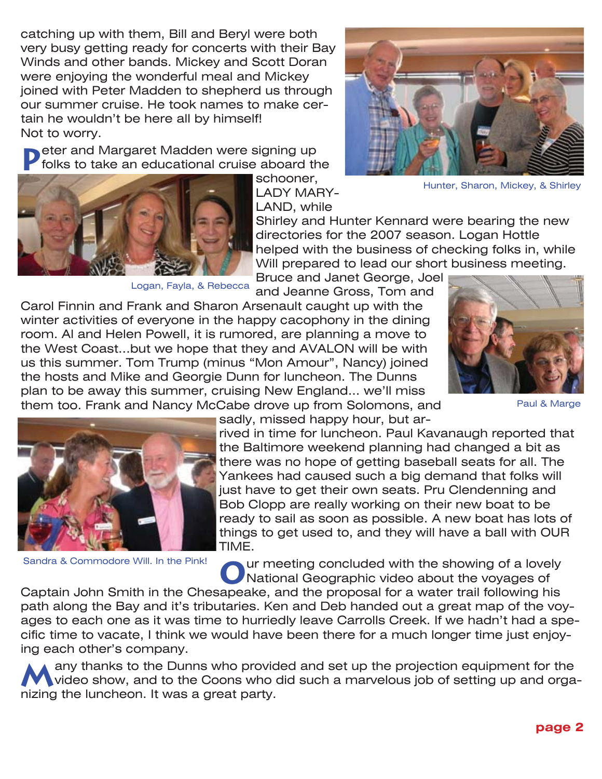catching up with them, Bill and Beryl were both very busy getting ready for concerts with their Bay Winds and other bands. Mickey and Scott Doran were enjoying the wonderful meal and Mickey joined with Peter Madden to shepherd us through our summer cruise. He took names to make certain he wouldn't be here all by himself! Not to worry.

**P**eter and Margaret Madden were signing up<br> **P** folks to take an educational cruise aboard the



Logan, Fayla, & Rebecca



Hunter, Sharon, Mickey, & Shirley

Shirley and Hunter Kennard were bearing the new directories for the 2007 season. Logan Hottle helped with the business of checking folks in, while Will prepared to lead our short business meeting.

Bruce and Janet George, Joel and Jeanne Gross, Tom and

Carol Finnin and Frank and Sharon Arsenault caught up with the winter activities of everyone in the happy cacophony in the dining room. Al and Helen Powell, it is rumored, are planning a move to the West Coast...but we hope that they and AVALON will be with us this summer. Tom Trump (minus "Mon Amour", Nancy) joined the hosts and Mike and Georgie Dunn for luncheon. The Dunns plan to be away this summer, cruising New England... we'll miss them too. Frank and Nancy McCabe drove up from Solomons, and



Paul & Marge

Sandra & Commodore Will. In the Pink!

sadly, missed happy hour, but ar-

rived in time for luncheon. Paul Kavanaugh reported that the Baltimore weekend planning had changed a bit as there was no hope of getting baseball seats for all. The Yankees had caused such a big demand that folks will just have to get their own seats. Pru Clendenning and Bob Clopp are really working on their new boat to be ready to sail as soon as possible. A new boat has lots of things to get used to, and they will have a ball with OUR TIME.

Our meeting concluded with the showing of a lovely<br> **O**National Geographic video about the voyages of

Captain John Smith in the Chesapeake, and the proposal for a water trail following his path along the Bay and it's tributaries. Ken and Deb handed out a great map of the voyages to each one as it was time to hurriedly leave Carrolls Creek. If we hadn't had a specific time to vacate, I think we would have been there for a much longer time just enjoying each other's company.

**M**any thanks to the Dunns who provided and set up the projection equipment for the video show, and to the Coons who did such a marvelous job of setting up and organizing the luncheon. It was a great party.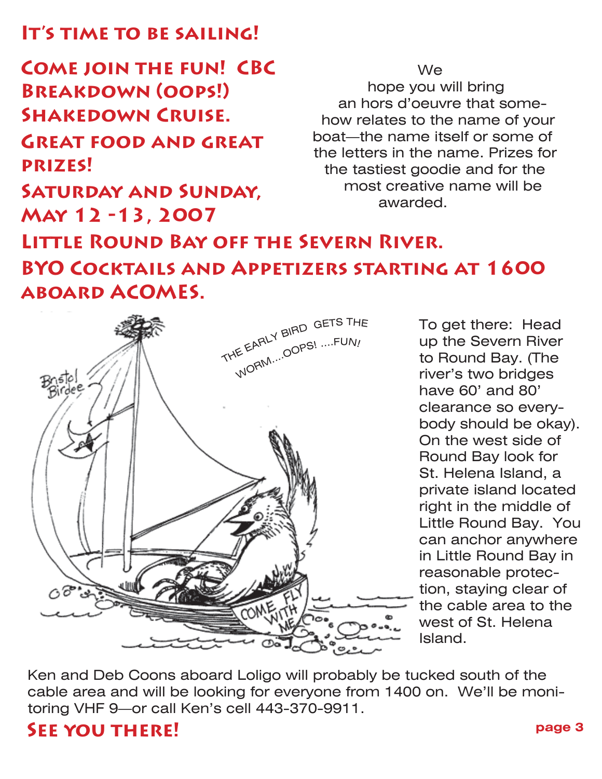### **It's time to be sailing!**

**Come join the fun! CBC Breakdown (oops!) Shakedown Cruise. Great food and great prizes!**

**Saturday and Sunday,** 

**May 12 -13, 2007**

hope you will bring an hors d'oeuvre that somehow relates to the name of your boat—the name itself or some of the letters in the name. Prizes for the tastiest goodie and for the most creative name will be awarded.

We

# **Little Round Bay off the Severn River. BYO Cocktails and Appetizers starting at 1600 aboard ACOMES.**



To get there: Head up the Severn River to Round Bay. (The river's two bridges have 60' and 80' clearance so everybody should be okay). On the west side of Round Bay look for St. Helena Island, a private island located right in the middle of Little Round Bay. You can anchor anywhere in Little Round Bay in reasonable protection, staying clear of the cable area to the west of St. Helena Island.

Ken and Deb Coons aboard Loligo will probably be tucked south of the cable area and will be looking for everyone from 1400 on. We'll be monitoring VHF 9—or call Ken's cell 443-370-9911.

### **See you there!**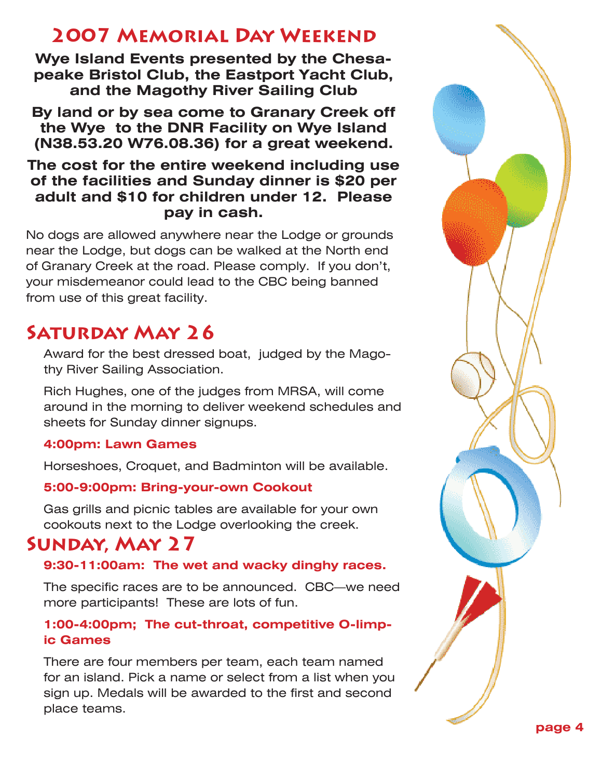### **2007 Memorial Day Weekend**

**Wye Island Events presented by the Chesapeake Bristol Club, the Eastport Yacht Club, and the Magothy River Sailing Club**

**By land or by sea come to Granary Creek off the Wye to the DNR Facility on Wye Island (N38.53.20 W76.08.36) for a great weekend.**

### **The cost for the entire weekend including use of the facilities and Sunday dinner is \$20 per adult and \$10 for children under 12. Please pay in cash.**

No dogs are allowed anywhere near the Lodge or grounds near the Lodge, but dogs can be walked at the North end of Granary Creek at the road. Please comply. If you don't, your misdemeanor could lead to the CBC being banned from use of this great facility.

# **Saturday May 26**

Award for the best dressed boat, judged by the Magothy River Sailing Association.

Rich Hughes, one of the judges from MRSA, will come around in the morning to deliver weekend schedules and sheets for Sunday dinner signups.

### **4:00pm: Lawn Games**

Horseshoes, Croquet, and Badminton will be available.

### **5:00-9:00pm: Bring-your-own Cookout**

Gas grills and picnic tables are available for your own cookouts next to the Lodge overlooking the creek.

### **Sunday, May 27**

### **9:30-11:00am: The wet and wacky dinghy races.**

The specific races are to be announced. CBC—we need more participants! These are lots of fun.

### **1:00-4:00pm; The cut-throat, competitive O-limpic Games**

There are four members per team, each team named for an island. Pick a name or select from a list when you sign up. Medals will be awarded to the first and second place teams.

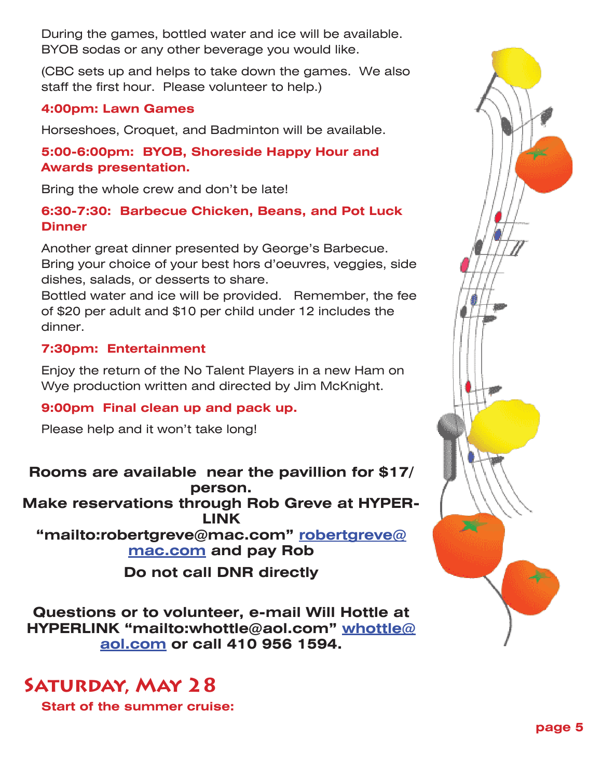During the games, bottled water and ice will be available. BYOB sodas or any other beverage you would like.

(CBC sets up and helps to take down the games. We also staff the first hour. Please volunteer to help.)

#### **4:00pm: Lawn Games**

Horseshoes, Croquet, and Badminton will be available.

#### **5:00-6:00pm: BYOB, Shoreside Happy Hour and Awards presentation.**

Bring the whole crew and don't be late!

#### **6:30-7:30: Barbecue Chicken, Beans, and Pot Luck Dinner**

Another great dinner presented by George's Barbecue. Bring your choice of your best hors d'oeuvres, veggies, side dishes, salads, or desserts to share.

Bottled water and ice will be provided. Remember, the fee of \$20 per adult and \$10 per child under 12 includes the dinner.

### **7:30pm: Entertainment**

Enjoy the return of the No Talent Players in a new Ham on Wye production written and directed by Jim McKnight.

#### **9:00pm Final clean up and pack up.**

Please help and it won't take long!

**Rooms are available near the pavillion for \$17/ person. Make reservations through Rob Greve at HYPER-LINK "mailto:robertgreve@mac.com" robertgreve@ mac.com and pay Rob Do not call DNR directly**

**Questions or to volunteer, e-mail Will Hottle at HYPERLINK "mailto:whottle@aol.com" whottle@ aol.com or call 410 956 1594.** 

## **Saturday, May 28**

**Start of the summer cruise:**

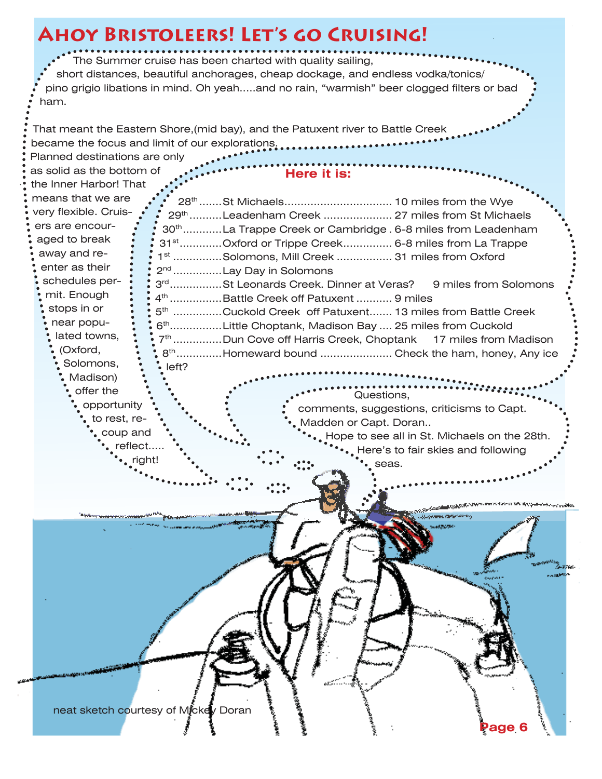